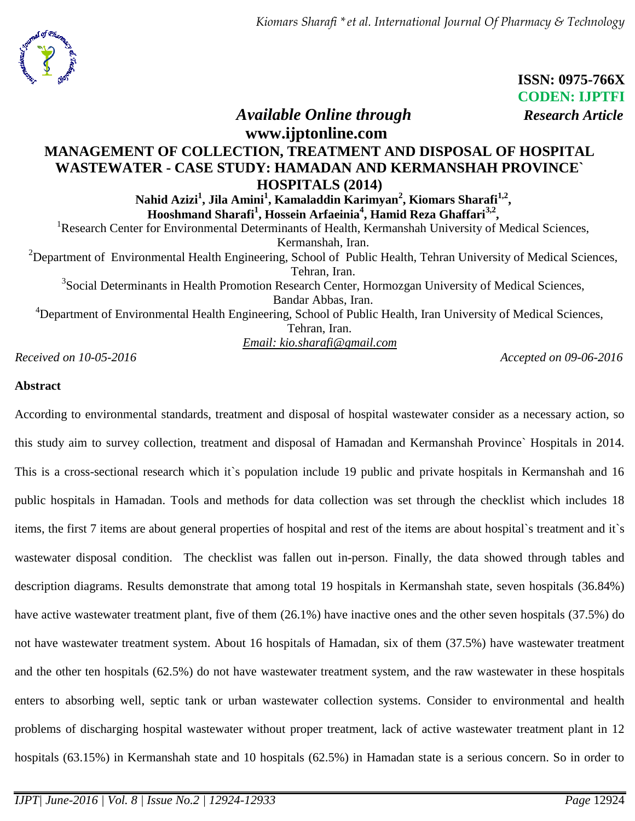

 **ISSN: 0975-766X CODEN: IJPTFI**

# *Available Online through Research Article*

# **www.ijptonline.com MANAGEMENT OF COLLECTION, TREATMENT AND DISPOSAL OF HOSPITAL WASTEWATER - CASE STUDY: HAMADAN AND KERMANSHAH PROVINCE` HOSPITALS (2014)**

**Nahid Azizi<sup>1</sup> , Jila Amini<sup>1</sup> , Kamaladdin Karimyan<sup>2</sup> , Kiomars Sharafi1,2 , Hooshmand Sharafi<sup>1</sup> , Hossein Arfaeinia<sup>4</sup> , Hamid Reza Ghaffari3,2 ,**

<sup>1</sup>Research Center for Environmental Determinants of Health, Kermanshah University of Medical Sciences, Kermanshah, Iran.  $2D$ epartment of Environmental Health Engineering, School of Public Health, Tehran University of Medical Sciences, Tehran, Iran. <sup>3</sup>Social Determinants in Health Promotion Research Center, Hormozgan University of Medical Sciences, Bandar Abbas, Iran.

<sup>4</sup>Department of Environmental Health Engineering, School of Public Health, Iran University of Medical Sciences, Tehran, Iran. *Email: kio.sharafi@gmail.com*

*Received on 10-05-2016* Accepted on 09-06-2016

# **Abstract**

According to environmental standards, treatment and disposal of hospital wastewater consider as a necessary action, so this study aim to survey collection, treatment and disposal of Hamadan and Kermanshah Province` Hospitals in 2014. This is a cross-sectional research which it`s population include 19 public and private hospitals in Kermanshah and 16 public hospitals in Hamadan. Tools and methods for data collection was set through the checklist which includes 18 items, the first 7 items are about general properties of hospital and rest of the items are about hospital`s treatment and it`s wastewater disposal condition. The checklist was fallen out in-person. Finally, the data showed through tables and description diagrams. Results demonstrate that among total 19 hospitals in Kermanshah state, seven hospitals (36.84%) have active wastewater treatment plant, five of them (26.1%) have inactive ones and the other seven hospitals (37.5%) do not have wastewater treatment system. About 16 hospitals of Hamadan, six of them (37.5%) have wastewater treatment and the other ten hospitals (62.5%) do not have wastewater treatment system, and the raw wastewater in these hospitals enters to absorbing well, septic tank or urban wastewater collection systems. Consider to environmental and health problems of discharging hospital wastewater without proper treatment, lack of active wastewater treatment plant in 12 hospitals (63.15%) in Kermanshah state and 10 hospitals (62.5%) in Hamadan state is a serious concern. So in order to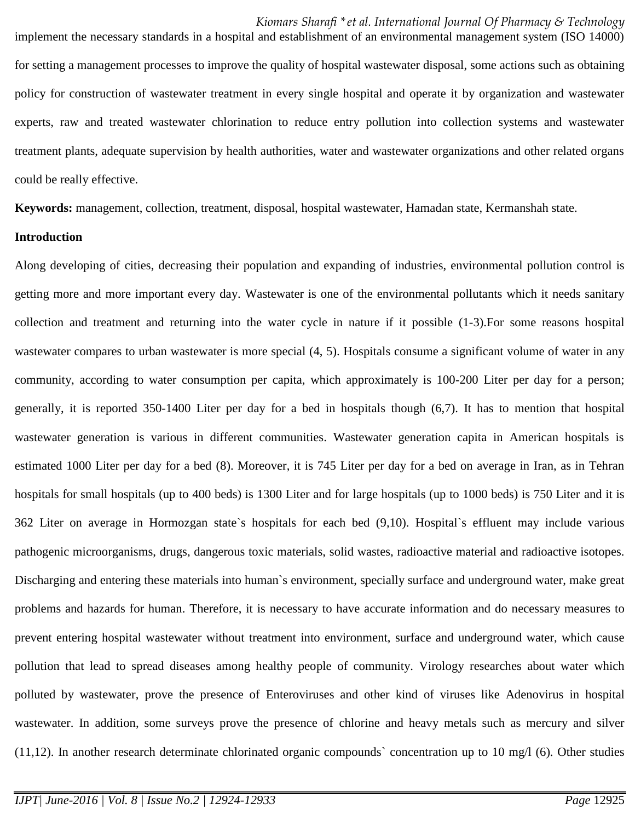implement the necessary standards in a hospital and establishment of an environmental management system (ISO 14000) for setting a management processes to improve the quality of hospital wastewater disposal, some actions such as obtaining policy for construction of wastewater treatment in every single hospital and operate it by organization and wastewater experts, raw and treated wastewater chlorination to reduce entry pollution into collection systems and wastewater treatment plants, adequate supervision by health authorities, water and wastewater organizations and other related organs could be really effective.

**Keywords:** management, collection, treatment, disposal, hospital wastewater, Hamadan state, Kermanshah state.

## **Introduction**

Along developing of cities, decreasing their population and expanding of industries, environmental pollution control is getting more and more important every day. Wastewater is one of the environmental pollutants which it needs sanitary collection and treatment and returning into the water cycle in nature if it possible (1-3).For some reasons hospital wastewater compares to urban wastewater is more special  $(4, 5)$ . Hospitals consume a significant volume of water in any community, according to water consumption per capita, which approximately is 100-200 Liter per day for a person; generally, it is reported 350-1400 Liter per day for a bed in hospitals though (6,7). It has to mention that hospital wastewater generation is various in different communities. Wastewater generation capita in American hospitals is estimated 1000 Liter per day for a bed (8). Moreover, it is 745 Liter per day for a bed on average in Iran, as in Tehran hospitals for small hospitals (up to 400 beds) is 1300 Liter and for large hospitals (up to 1000 beds) is 750 Liter and it is 362 Liter on average in Hormozgan state`s hospitals for each bed (9,10). Hospital`s effluent may include various pathogenic microorganisms, drugs, dangerous toxic materials, solid wastes, radioactive material and radioactive isotopes. Discharging and entering these materials into human`s environment, specially surface and underground water, make great problems and hazards for human. Therefore, it is necessary to have accurate information and do necessary measures to prevent entering hospital wastewater without treatment into environment, surface and underground water, which cause pollution that lead to spread diseases among healthy people of community. Virology researches about water which polluted by wastewater, prove the presence of Enteroviruses and other kind of viruses like Adenovirus in hospital wastewater. In addition, some surveys prove the presence of chlorine and heavy metals such as mercury and silver  $(11,12)$ . In another research determinate chlorinated organic compounds' concentration up to 10 mg/l (6). Other studies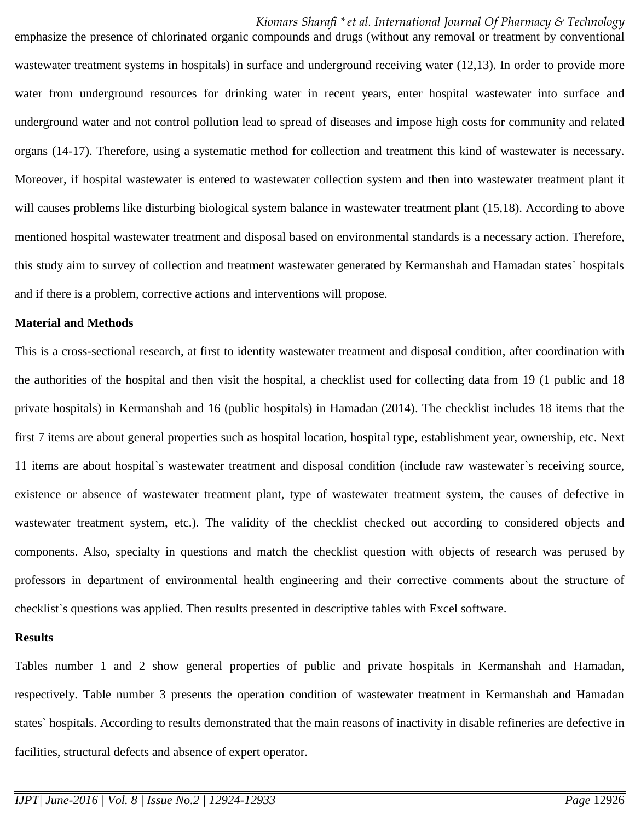emphasize the presence of chlorinated organic compounds and drugs (without any removal or treatment by conventional wastewater treatment systems in hospitals) in surface and underground receiving water (12,13). In order to provide more water from underground resources for drinking water in recent years, enter hospital wastewater into surface and underground water and not control pollution lead to spread of diseases and impose high costs for community and related organs (14-17). Therefore, using a systematic method for collection and treatment this kind of wastewater is necessary. Moreover, if hospital wastewater is entered to wastewater collection system and then into wastewater treatment plant it will causes problems like disturbing biological system balance in wastewater treatment plant (15,18). According to above mentioned hospital wastewater treatment and disposal based on environmental standards is a necessary action. Therefore, this study aim to survey of collection and treatment wastewater generated by Kermanshah and Hamadan states` hospitals and if there is a problem, corrective actions and interventions will propose.

### **Material and Methods**

This is a cross-sectional research, at first to identity wastewater treatment and disposal condition, after coordination with the authorities of the hospital and then visit the hospital, a checklist used for collecting data from 19 (1 public and 18 private hospitals) in Kermanshah and 16 (public hospitals) in Hamadan (2014). The checklist includes 18 items that the first 7 items are about general properties such as hospital location, hospital type, establishment year, ownership, etc. Next 11 items are about hospital`s wastewater treatment and disposal condition (include raw wastewater`s receiving source, existence or absence of wastewater treatment plant, type of wastewater treatment system, the causes of defective in wastewater treatment system, etc.). The validity of the checklist checked out according to considered objects and components. Also, specialty in questions and match the checklist question with objects of research was perused by professors in department of environmental health engineering and their corrective comments about the structure of checklist`s questions was applied. Then results presented in descriptive tables with Excel software.

### **Results**

Tables number 1 and 2 show general properties of public and private hospitals in Kermanshah and Hamadan, respectively. Table number 3 presents the operation condition of wastewater treatment in Kermanshah and Hamadan states` hospitals. According to results demonstrated that the main reasons of inactivity in disable refineries are defective in facilities, structural defects and absence of expert operator.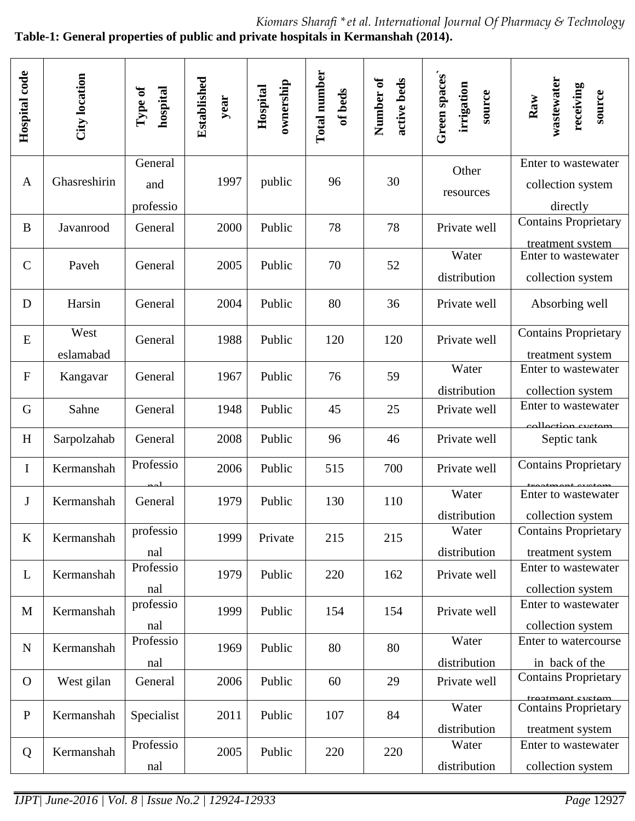*Kiomars Sharafi \*et al. International Journal Of Pharmacy & Technology* **Table-1: General properties of public and private hospitals in Kermanshah (2014).**

| Hospital code | City location     | Type of<br>hospital         | Established<br>year | ownership<br>Hospital | Total number<br>of beds | Number of<br>active beds | Green spaces<br>irrigation<br>source | wastewater<br>receiving<br>source<br>$\mathbf{R}$ aw                 |
|---------------|-------------------|-----------------------------|---------------------|-----------------------|-------------------------|--------------------------|--------------------------------------|----------------------------------------------------------------------|
| $\mathbf{A}$  | Ghasreshirin      | General<br>and<br>professio | 1997                | public                | 96                      | 30                       | Other<br>resources                   | Enter to wastewater<br>collection system<br>directly                 |
| B             | Javanrood         | General                     | 2000                | Public                | 78                      | 78                       | Private well                         | <b>Contains Proprietary</b><br>treatment system                      |
| $\mathcal{C}$ | Paveh             | General                     | 2005                | Public                | 70                      | 52                       | Water<br>distribution                | Enter to wastewater<br>collection system                             |
| D             | Harsin            | General                     | 2004                | Public                | 80                      | 36                       | Private well                         | Absorbing well                                                       |
| E             | West<br>eslamabad | General                     | 1988                | Public                | 120                     | 120                      | Private well                         | <b>Contains Proprietary</b><br>treatment system                      |
| ${\bf F}$     | Kangavar          | General                     | 1967                | Public                | 76                      | 59                       | Water<br>distribution                | Enter to wastewater<br>collection system                             |
| G             | Sahne             | General                     | 1948                | Public                | 45                      | 25                       | Private well                         | Enter to wastewater<br>collection evetem                             |
| H             | Sarpolzahab       | General                     | 2008                | Public                | 96                      | 46                       | Private well                         | Septic tank                                                          |
| $\mathbf I$   | Kermanshah        | Professio                   | 2006                | Public                | 515                     | 700                      | Private well                         | <b>Contains Proprietary</b>                                          |
| $\mathbf J$   | Kermanshah        | General                     | 1979                | Public                | 130                     | 110                      | Water<br>distribution                | Enter to wastewater<br>collection system                             |
| K             | Kermanshah        | professio<br>nal            | 1999                | Private               | 215                     | 215                      | Water<br>distribution                | <b>Contains Proprietary</b><br>treatment system                      |
| L             | Kermanshah        | Professio<br>nal            | 1979                | Public                | 220                     | 162                      | Private well                         | Enter to wastewater<br>collection system                             |
| M             | Kermanshah        | professio<br>nal            | 1999                | Public                | 154                     | 154                      | Private well                         | Enter to wastewater<br>collection system                             |
| $\mathbf N$   | Kermanshah        | Professio<br>nal            | 1969                | Public                | 80                      | 80                       | Water<br>distribution                | Enter to watercourse<br>in back of the                               |
| $\mathbf O$   | West gilan        | General                     | 2006                | Public                | 60                      | 29                       | Private well                         | <b>Contains Proprietary</b>                                          |
| ${\bf P}$     | Kermanshah        | Specialist                  | 2011                | Public                | 107                     | 84                       | Water<br>distribution                | treatment evetem.<br><b>Contains Proprietary</b><br>treatment system |
| Q             | Kermanshah        | Professio<br>nal            | 2005                | Public                | 220                     | 220                      | Water<br>distribution                | Enter to wastewater<br>collection system                             |

system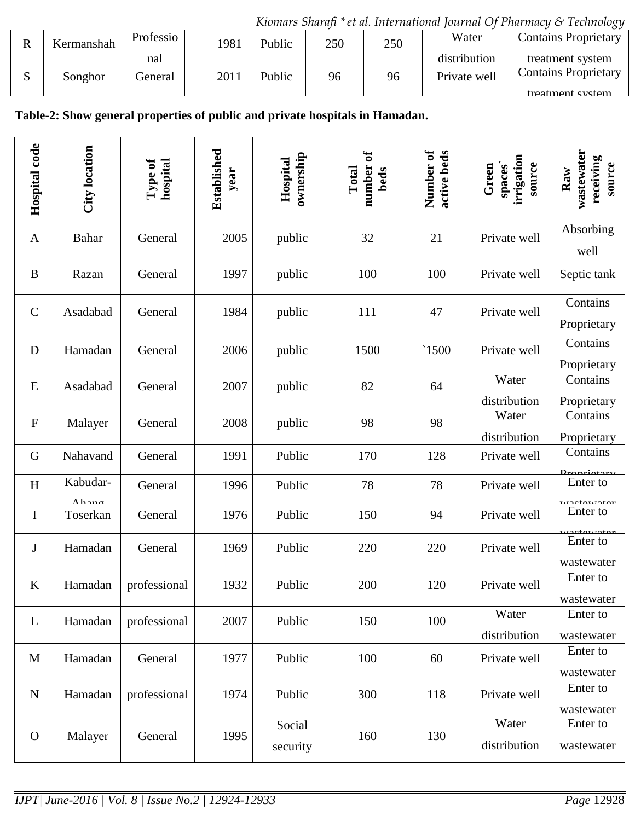*Kiomars Sharafi \*et al. International Journal Of Pharmacy & Technology*

| Kermanshah | Professio | 1981 | Public | 250 | 250 | Water        | <b>Contains Proprietary</b> |
|------------|-----------|------|--------|-----|-----|--------------|-----------------------------|
|            | nal       |      |        |     |     | distribution | treatment system            |
| Songhor    | General   | 2011 | Public | 96  | 96  | Private well | <b>Contains Proprietary</b> |
|            |           |      |        |     |     |              | treatment system            |

# **Table-2: Show general properties of public and private hospitals in Hamadan.**

| Hospital code | City location        | hospital<br>Type of | Established<br>year | ownership<br>Hospital | number of<br>Total<br>beds | Number of<br>active beds | irrigation<br>source<br>spaces`<br>Green | wastewater<br>receiving<br>source<br>Raw |
|---------------|----------------------|---------------------|---------------------|-----------------------|----------------------------|--------------------------|------------------------------------------|------------------------------------------|
| A             | Bahar                | General             | 2005                | public                | 32                         | 21                       | Private well                             | Absorbing<br>well                        |
| B             | Razan                | General             | 1997                | public                | 100                        | 100                      | Private well                             | Septic tank                              |
| $\mathcal{C}$ | Asadabad             | General             | 1984                | public                | 111                        | 47                       | Private well                             | Contains<br>Proprietary                  |
| D             | Hamadan              | General             | 2006                | public                | 1500                       | $\degree$ 1500           | Private well                             | Contains<br>Proprietary                  |
| E             | Asadabad             | General             | 2007                | public                | 82                         | 64                       | Water<br>distribution                    | Contains<br>Proprietary                  |
| $\mathbf F$   | Malayer              | General             | 2008                | public                | 98                         | 98                       | Water<br>distribution                    | Contains<br>Proprietary                  |
| G             | Nahavand             | General             | 1991                | Public                | 170                        | 128                      | Private well                             | Contains<br>Dropriatory                  |
| H             | Kabudar-<br>$A$ hong | General             | 1996                | Public                | 78                         | 78                       | Private well                             | Enter to                                 |
| $\bf{I}$      | Toserkan             | General             | 1976                | Public                | 150                        | 94                       | Private well                             | Enter to                                 |
| J             | Hamadan              | General             | 1969                | Public                | 220                        | 220                      | Private well                             | Enter to<br>wastewater                   |
| $\bf K$       | Hamadan              | professional        | 1932                | Public                | 200                        | 120                      | Private well                             | Enter to<br>wastewater                   |
| L             | Hamadan              | professional        | 2007                | Public                | 150                        | 100                      | Water<br>distribution                    | Enter to<br>wastewater                   |
| M             | Hamadan              | General             | 1977                | Public                | 100                        | 60                       | Private well                             | Enter to<br>wastewater                   |
| ${\bf N}$     | Hamadan              | professional        | 1974                | Public                | 300                        | 118                      | Private well                             | Enter to<br>wastewater                   |
| $\mathbf{O}$  | Malayer              | General             | 1995                | Social<br>security    | 160                        | 130                      | Water<br>distribution                    | Enter to<br>wastewater                   |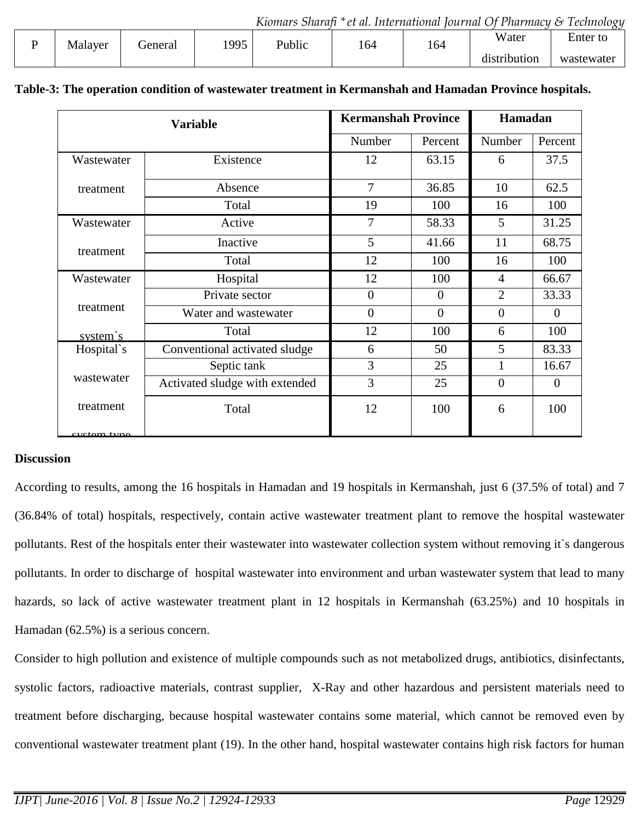|         |         |      |        |     |     |                                      | $\cdots$                   |
|---------|---------|------|--------|-----|-----|--------------------------------------|----------------------------|
| Malayer | General | 1995 | Public | 164 | 164 | Water                                | $\blacksquare$<br>Enter to |
|         |         |      |        |     |     | $\bullet$<br>$\cdot$<br>distribution | wastewater                 |
|         |         |      |        |     |     |                                      |                            |

|                    | <b>Variable</b>                | <b>Kermanshah Province</b> |                | Hamadan        |                |  |
|--------------------|--------------------------------|----------------------------|----------------|----------------|----------------|--|
|                    |                                | Number                     | Percent        | Number         | Percent        |  |
| Wastewater         | Existence                      |                            | 63.15          | 6              | 37.5           |  |
| treatment          | Absence                        | 7                          | 36.85          | 10             | 62.5           |  |
|                    | Total                          | 19                         | 100            | 16             | 100            |  |
| Wastewater         | Active                         | 7                          | 58.33          | 5              | 31.25          |  |
|                    | Inactive                       | 5                          | 41.66          | 11             | 68.75          |  |
| treatment          | Total                          | 12                         | 100            | 16             | 100            |  |
| Wastewater         | Hospital                       | 12                         | 100            | $\overline{4}$ | 66.67          |  |
|                    | Private sector                 | $\mathbf{0}$               | $\overline{0}$ | $\overline{2}$ | 33.33          |  |
| treatment          | Water and wastewater           | $\overline{0}$             | $\overline{0}$ | $\Omega$       | $\overline{0}$ |  |
| system's           | Total                          | 12                         | 100            | 6              | 100            |  |
| Hospital's         | Conventional activated sludge  | 6                          | 50             | 5              | 83.33          |  |
|                    | Septic tank                    | 3                          | 25             | 1              | 16.67          |  |
| wastewater         | Activated sludge with extended | $\overline{3}$             | 25             | $\overline{0}$ | $\overline{0}$ |  |
| treatment<br>Total |                                | 12                         | 100            | 6              | 100            |  |
| evetam tyne        |                                |                            |                |                |                |  |

#### system collection **Table-3: The operation condition of wastewater treatment in Kermanshah and Hamadan Province hospitals.**

# **Discussion**

According to results, among the 16 hospitals in Hamadan and 19 hospitals in Kermanshah, just 6 (37.5% of total) and 7 (36.84% of total) hospitals, respectively, contain active wastewater treatment plant to remove the hospital wastewater pollutants. Rest of the hospitals enter their wastewater into wastewater collection system without removing it`s dangerous pollutants. In order to discharge of hospital wastewater into environment and urban wastewater system that lead to many hazards, so lack of active wastewater treatment plant in 12 hospitals in Kermanshah (63.25%) and 10 hospitals in Hamadan (62.5%) is a serious concern.

Consider to high pollution and existence of multiple compounds such as not metabolized drugs, antibiotics, disinfectants, systolic factors, radioactive materials, contrast supplier, X-Ray and other hazardous and persistent materials need to treatment before discharging, because hospital wastewater contains some material, which cannot be removed even by conventional wastewater treatment plant (19). In the other hand, hospital wastewater contains high risk factors for human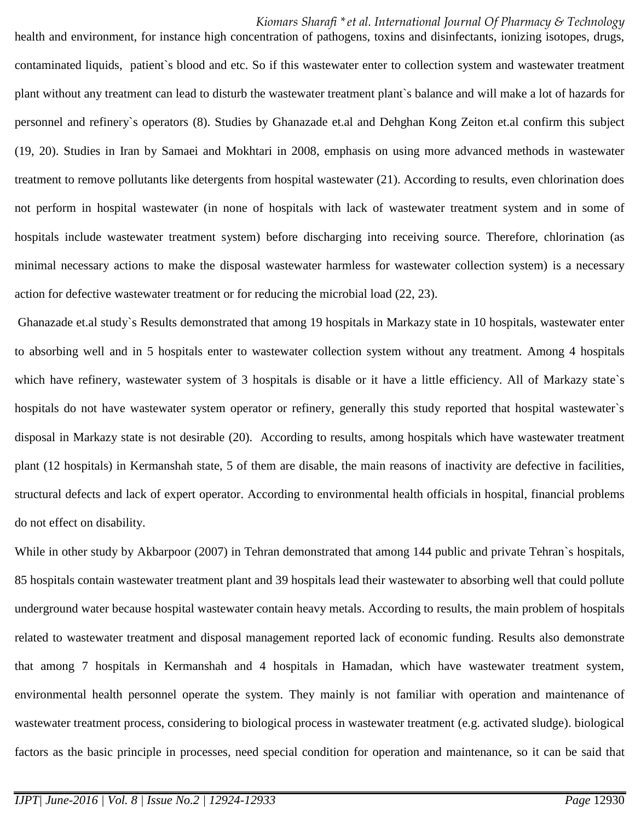health and environment, for instance high concentration of pathogens, toxins and disinfectants, ionizing isotopes, drugs, contaminated liquids, patient`s blood and etc. So if this wastewater enter to collection system and wastewater treatment plant without any treatment can lead to disturb the wastewater treatment plant`s balance and will make a lot of hazards for personnel and refinery`s operators (8). Studies by Ghanazade et.al and Dehghan Kong Zeiton et.al confirm this subject (19, 20). Studies in Iran by Samaei and Mokhtari in 2008, emphasis on using more advanced methods in wastewater treatment to remove pollutants like detergents from hospital wastewater (21). According to results, even chlorination does not perform in hospital wastewater (in none of hospitals with lack of wastewater treatment system and in some of hospitals include wastewater treatment system) before discharging into receiving source. Therefore, chlorination (as minimal necessary actions to make the disposal wastewater harmless for wastewater collection system) is a necessary action for defective wastewater treatment or for reducing the microbial load (22, 23).

Ghanazade et.al study`s Results demonstrated that among 19 hospitals in Markazy state in 10 hospitals, wastewater enter to absorbing well and in 5 hospitals enter to wastewater collection system without any treatment. Among 4 hospitals which have refinery, wastewater system of 3 hospitals is disable or it have a little efficiency. All of Markazy state's hospitals do not have wastewater system operator or refinery, generally this study reported that hospital wastewater`s disposal in Markazy state is not desirable (20). According to results, among hospitals which have wastewater treatment plant (12 hospitals) in Kermanshah state, 5 of them are disable, the main reasons of inactivity are defective in facilities, structural defects and lack of expert operator. According to environmental health officials in hospital, financial problems do not effect on disability.

While in other study by Akbarpoor (2007) in Tehran demonstrated that among 144 public and private Tehran's hospitals, 85 hospitals contain wastewater treatment plant and 39 hospitals lead their wastewater to absorbing well that could pollute underground water because hospital wastewater contain heavy metals. According to results, the main problem of hospitals related to wastewater treatment and disposal management reported lack of economic funding. Results also demonstrate that among 7 hospitals in Kermanshah and 4 hospitals in Hamadan, which have wastewater treatment system, environmental health personnel operate the system. They mainly is not familiar with operation and maintenance of wastewater treatment process, considering to biological process in wastewater treatment (e.g. activated sludge). biological factors as the basic principle in processes, need special condition for operation and maintenance, so it can be said that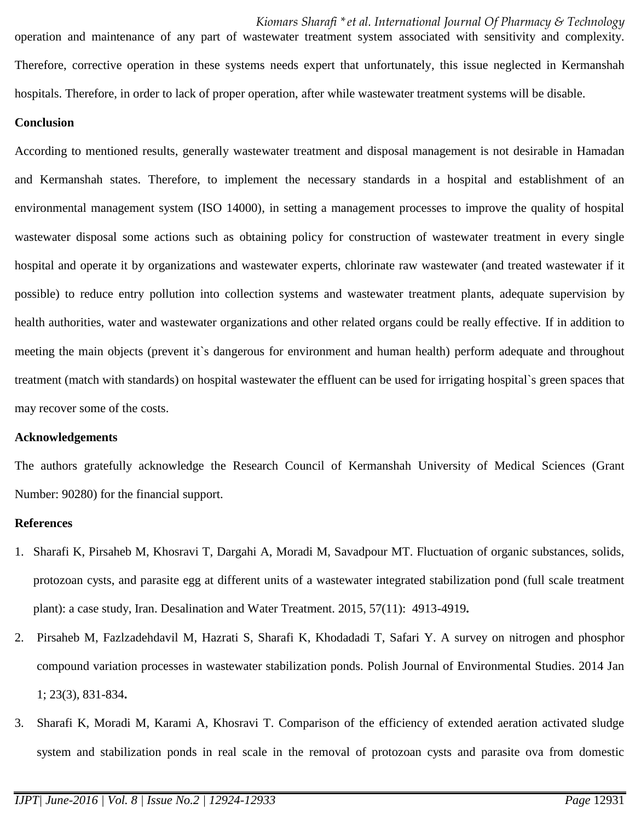*Kiomars Sharafi \*et al. International Journal Of Pharmacy & Technology* operation and maintenance of any part of wastewater treatment system associated with sensitivity and complexity. Therefore, corrective operation in these systems needs expert that unfortunately, this issue neglected in Kermanshah hospitals. Therefore, in order to lack of proper operation, after while wastewater treatment systems will be disable.

# **Conclusion**

According to mentioned results, generally wastewater treatment and disposal management is not desirable in Hamadan and Kermanshah states. Therefore, to implement the necessary standards in a hospital and establishment of an environmental management system (ISO 14000), in setting a management processes to improve the quality of hospital wastewater disposal some actions such as obtaining policy for construction of wastewater treatment in every single hospital and operate it by organizations and wastewater experts, chlorinate raw wastewater (and treated wastewater if it possible) to reduce entry pollution into collection systems and wastewater treatment plants, adequate supervision by health authorities, water and wastewater organizations and other related organs could be really effective. If in addition to meeting the main objects (prevent it`s dangerous for environment and human health) perform adequate and throughout treatment (match with standards) on hospital wastewater the effluent can be used for irrigating hospital`s green spaces that may recover some of the costs.

## **Acknowledgements**

The authors gratefully acknowledge the Research Council of Kermanshah University of Medical Sciences (Grant Number: 90280) for the financial support.

## **References**

- 1. Sharafi K, Pirsaheb M, Khosravi T, Dargahi A, Moradi M, Savadpour MT. Fluctuation of organic substances, solids, protozoan cysts, and parasite egg at different units of a wastewater integrated stabilization pond (full scale treatment plant): a case study, Iran. Desalination and Water Treatment. 2015, 57(11): 4913-4919**.**
- 2. Pirsaheb M, Fazlzadehdavil M, Hazrati S, Sharafi K, Khodadadi T, Safari Y. A survey on nitrogen and phosphor compound variation processes in wastewater stabilization ponds. Polish Journal of Environmental Studies. 2014 Jan 1; 23(3), 831-834**.**
- 3. Sharafi K, Moradi M, Karami A, Khosravi T. Comparison of the efficiency of extended aeration activated sludge system and stabilization ponds in real scale in the removal of protozoan cysts and parasite ova from domestic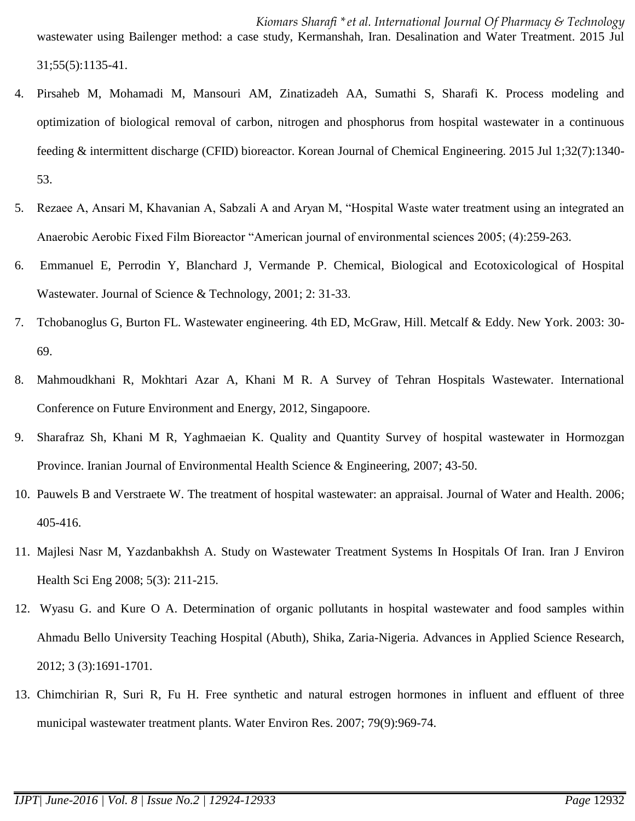wastewater using Bailenger method: a case study, Kermanshah, Iran. Desalination and Water Treatment. 2015 Jul 31;55(5):1135-41.

- 4. Pirsaheb M, Mohamadi M, Mansouri AM, Zinatizadeh AA, Sumathi S, Sharafi K. Process modeling and optimization of biological removal of carbon, nitrogen and phosphorus from hospital wastewater in a continuous feeding & intermittent discharge (CFID) bioreactor. Korean Journal of Chemical Engineering. 2015 Jul 1;32(7):1340- 53.
- 5. Rezaee A, Ansari M, Khavanian A, Sabzali A and Aryan M, "Hospital Waste water treatment using an integrated an Anaerobic Aerobic Fixed Film Bioreactor "American journal of environmental sciences 2005; (4):259-263.
- 6. Emmanuel E, Perrodin Y, Blanchard J, Vermande P. Chemical, Biological and Ecotoxicological of Hospital Wastewater. Journal of Science & Technology, 2001; 2: 31-33.
- 7. Tchobanoglus G, Burton FL. Wastewater engineering. 4th ED, McGraw, Hill. Metcalf & Eddy. New York. 2003: 30- 69.
- 8. Mahmoudkhani R, Mokhtari Azar A, Khani M R. A Survey of Tehran Hospitals Wastewater. International Conference on Future Environment and Energy, 2012, Singapoore.
- 9. Sharafraz Sh, Khani M R, Yaghmaeian K. Quality and Quantity Survey of hospital wastewater in Hormozgan Province. Iranian Journal of Environmental Health Science & Engineering, 2007; 43-50.
- 10. Pauwels B and Verstraete W. The treatment of hospital wastewater: an appraisal. Journal of Water and Health. 2006; 405-416.
- 11. Majlesi Nasr M, Yazdanbakhsh A. Study on Wastewater Treatment Systems In Hospitals Of Iran. Iran J Environ Health Sci Eng 2008; 5(3): 211-215.
- 12. Wyasu G. and Kure O A. Determination of organic pollutants in hospital wastewater and food samples within Ahmadu Bello University Teaching Hospital (Abuth), Shika, Zaria-Nigeria. Advances in Applied Science Research, 2012; 3 (3):1691-1701.
- 13. Chimchirian R, Suri R, Fu H. Free synthetic and natural estrogen hormones in influent and effluent of three municipal wastewater treatment plants. Water Environ Res. 2007; 79(9):969-74.